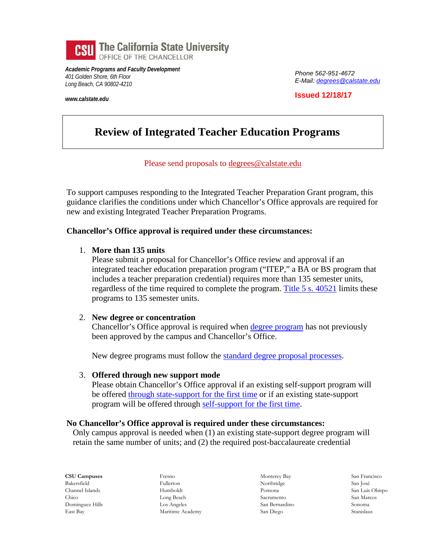

*Academic Programs and Faculty Development 401 Golden Shore, 6th Floor Long Beach, CA 90802-4210*

*www.calstate.edu*

*Phone 562-951-4672 E-Mail[: degrees@calstate.edu](mailto:degrees@calstate.edu)*

**Issued 12/18/17**

# **Review of Integrated Teacher Education Programs**

## Please send proposals to [degrees@calstate.edu](mailto:degrees@calstate.edu)

To support campuses responding to the Integrated Teacher Preparation Grant program, this guidance clarifies the conditions under which Chancellor's Office approvals are required for new and existing Integrated Teacher Preparation Programs.

## **Chancellor's Office approval is required under these circumstances:**

## 1. **More than 135 units**

Please submit a proposal for Chancellor's Office review and approval if an integrated teacher education preparation program ("ITEP," a BA or BS program that includes a teacher preparation credential) requires more than 135 semester units, regardless of the time required to complete the program. [Title 5 s. 40521](http://www.calstate.edu/app/policies/Title_5_40520-23-itp.pdf) limits these programs to 135 semester units.

## 2. **New degree or concentration**

Chancellor's Office approval is required when [degree program](http://www.calstate.edu/app/program_dev.shtml) has not previously been approved by the campus and Chancellor's Office.

New degree programs must follow the [standard degree proposal processes.](http://www.calstate.edu/app/documents/proposal_approval_process_flowchart.pdf)

#### 3. **Offered through new support mode**

Please obtain Chancellor's Office approval if an existing self-support program will be offered [through state-support for the first time](http://www.calstate.edu/app/documents/program_modification/ss_to_state_conversion.pdf) or if an existing state-support program will be offered through [self-support for the first time.](http://www.calstate.edu/app/documents/program_modification/Adding_Self_Support_to_State-SupportFinal.pdf)

## **No Chancellor's Office approval is required under these circumstances:**

Only campus approval is needed when (1) an existing state-support degree program will retain the same number of units; and (2) the required post-baccalaureate credential

**CSU Campuses** Bakersfield Channel Islands Chico Dominguez Hills East Bay

Fresno Fullerton Humboldt Long Beach Los Angeles Maritime Academy

Monterey Bay Northridge Pomona Sacramento San Bernardino San Diego

San Francisco San José San Luis Obispo San Marcos Sonoma Stanislaus